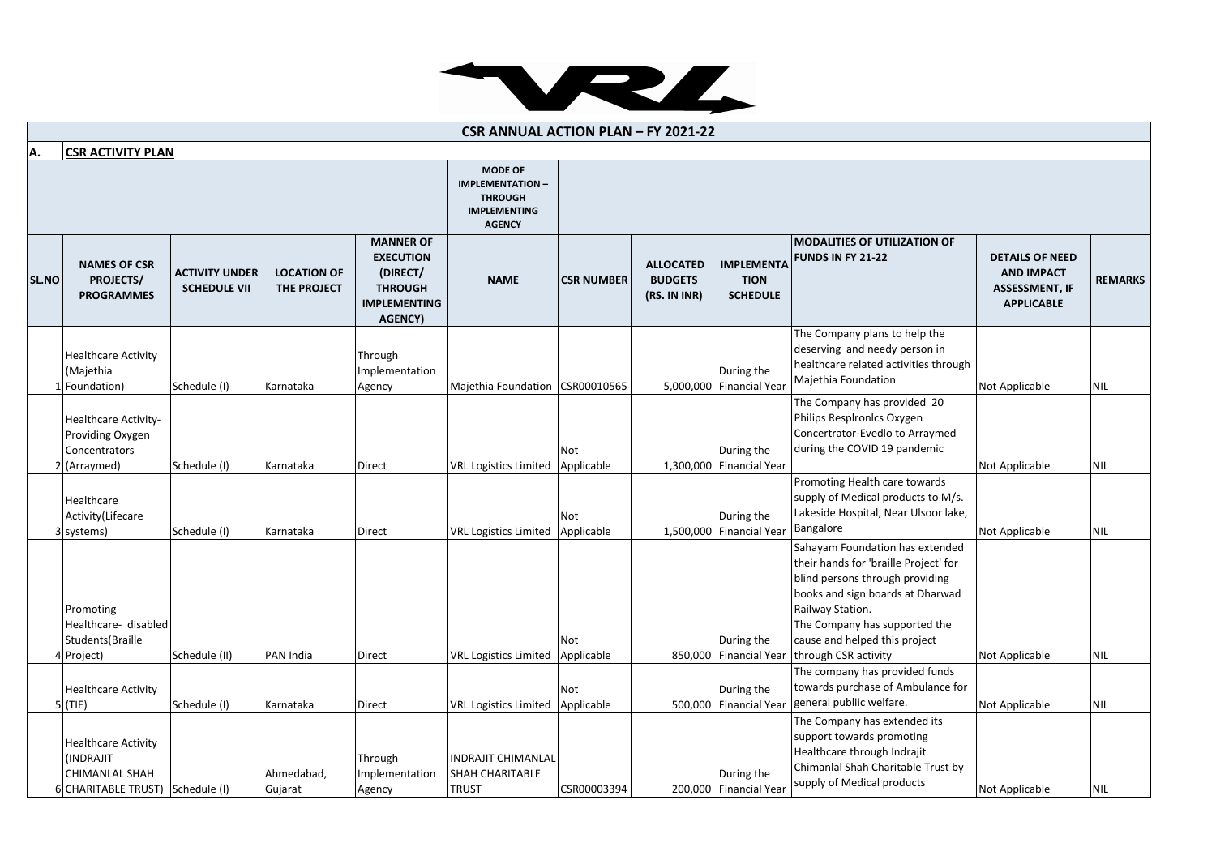

| <b>CSR ANNUAL ACTION PLAN - FY 2021-22</b> |                                                                                                            |                                              |                                          |                                                                                                             |                                                                                                     |                   |                                                    |                                                     |                                                                                                                                                                                                                                                               |                                                                                           |                |
|--------------------------------------------|------------------------------------------------------------------------------------------------------------|----------------------------------------------|------------------------------------------|-------------------------------------------------------------------------------------------------------------|-----------------------------------------------------------------------------------------------------|-------------------|----------------------------------------------------|-----------------------------------------------------|---------------------------------------------------------------------------------------------------------------------------------------------------------------------------------------------------------------------------------------------------------------|-------------------------------------------------------------------------------------------|----------------|
| <b>CSR ACTIVITY PLAN</b><br>A.             |                                                                                                            |                                              |                                          |                                                                                                             |                                                                                                     |                   |                                                    |                                                     |                                                                                                                                                                                                                                                               |                                                                                           |                |
|                                            |                                                                                                            |                                              |                                          |                                                                                                             | <b>MODE OF</b><br><b>IMPLEMENTATION -</b><br><b>THROUGH</b><br><b>IMPLEMENTING</b><br><b>AGENCY</b> |                   |                                                    |                                                     |                                                                                                                                                                                                                                                               |                                                                                           |                |
| SL.NO                                      | <b>NAMES OF CSR</b><br><b>PROJECTS/</b><br><b>PROGRAMMES</b>                                               | <b>ACTIVITY UNDER</b><br><b>SCHEDULE VII</b> | <b>LOCATION OF</b><br><b>THE PROJECT</b> | <b>MANNER OF</b><br><b>EXECUTION</b><br>(DIRECT/<br><b>THROUGH</b><br><b>IMPLEMENTING</b><br><b>AGENCY)</b> | <b>NAME</b>                                                                                         | <b>CSR NUMBER</b> | <b>ALLOCATED</b><br><b>BUDGETS</b><br>(RS. IN INR) | <b>IMPLEMENTA</b><br><b>TION</b><br><b>SCHEDULE</b> | <b>MODALITIES OF UTILIZATION OF</b><br><b>FUNDS IN FY 21-22</b>                                                                                                                                                                                               | <b>DETAILS OF NEED</b><br><b>AND IMPACT</b><br><b>ASSESSMENT, IF</b><br><b>APPLICABLE</b> | <b>REMARKS</b> |
|                                            | <b>Healthcare Activity</b><br>(Majethia<br>1 Foundation)                                                   | Schedule (I)                                 | Karnataka                                | Through<br>Implementation<br>Agency                                                                         | Majethia Foundation                                                                                 | CSR00010565       |                                                    | During the<br>5,000,000 Financial Year              | The Company plans to help the<br>deserving and needy person in<br>healthcare related activities through<br>Majethia Foundation                                                                                                                                | Not Applicable                                                                            | <b>NIL</b>     |
|                                            | Healthcare Activity-<br>Providing Oxygen<br>Concentrators<br>2 (Arraymed)                                  | Schedule (I)                                 | Karnataka                                | Direct                                                                                                      | <b>VRL Logistics Limited</b>                                                                        | Not<br>Applicable |                                                    | During the<br>1,300,000 Financial Year              | The Company has provided 20<br>Philips Resplronics Oxygen<br>Concertrator-Evedlo to Arraymed<br>during the COVID 19 pandemic                                                                                                                                  | Not Applicable                                                                            | <b>NIL</b>     |
|                                            | Healthcare<br>Activity(Lifecare<br>3 systems)                                                              | Schedule (I)                                 | Karnataka                                | Direct                                                                                                      | <b>VRL Logistics Limited</b>                                                                        | Not<br>Applicable |                                                    | During the<br>1,500,000 Financial Year              | Promoting Health care towards<br>supply of Medical products to M/s.<br>Lakeside Hospital, Near Ulsoor lake,<br>Bangalore                                                                                                                                      | Not Applicable                                                                            | <b>NIL</b>     |
|                                            | Promoting<br>Healthcare- disabled<br>Students(Braille<br>4 Project)                                        | Schedule (II)                                | PAN India                                | Direct                                                                                                      | <b>VRL Logistics Limited</b>                                                                        | Not<br>Applicable |                                                    | During the<br>850,000 Financial Year                | Sahayam Foundation has extended<br>their hands for 'braille Project' for<br>blind persons through providing<br>books and sign boards at Dharwad<br>Railway Station.<br>The Company has supported the<br>cause and helped this project<br>through CSR activity | Not Applicable                                                                            | <b>NIL</b>     |
|                                            | <b>Healthcare Activity</b><br>$5$ (TIE)                                                                    | Schedule (I)                                 | Karnataka                                | Direct                                                                                                      | VRL Logistics Limited                                                                               | Not<br>Applicable |                                                    | During the<br>500,000 Financial Year                | The company has provided funds<br>towards purchase of Ambulance for<br>general publiic welfare.                                                                                                                                                               | Not Applicable                                                                            | <b>NIL</b>     |
|                                            | <b>Healthcare Activity</b><br><b>INDRAJIT</b><br><b>CHIMANLAL SHAH</b><br>6 CHARITABLE TRUST) Schedule (I) |                                              | Ahmedabad,<br>Gujarat                    | Through<br>Implementation<br>Agency                                                                         | <b>INDRAJIT CHIMANLAL</b><br><b>SHAH CHARITABLE</b><br><b>TRUST</b>                                 | CSR00003394       |                                                    | During the<br>200,000 Financial Year                | The Company has extended its<br>support towards promoting<br>Healthcare through Indrajit<br>Chimanlal Shah Charitable Trust by<br>supply of Medical products                                                                                                  | Not Applicable                                                                            | <b>NIL</b>     |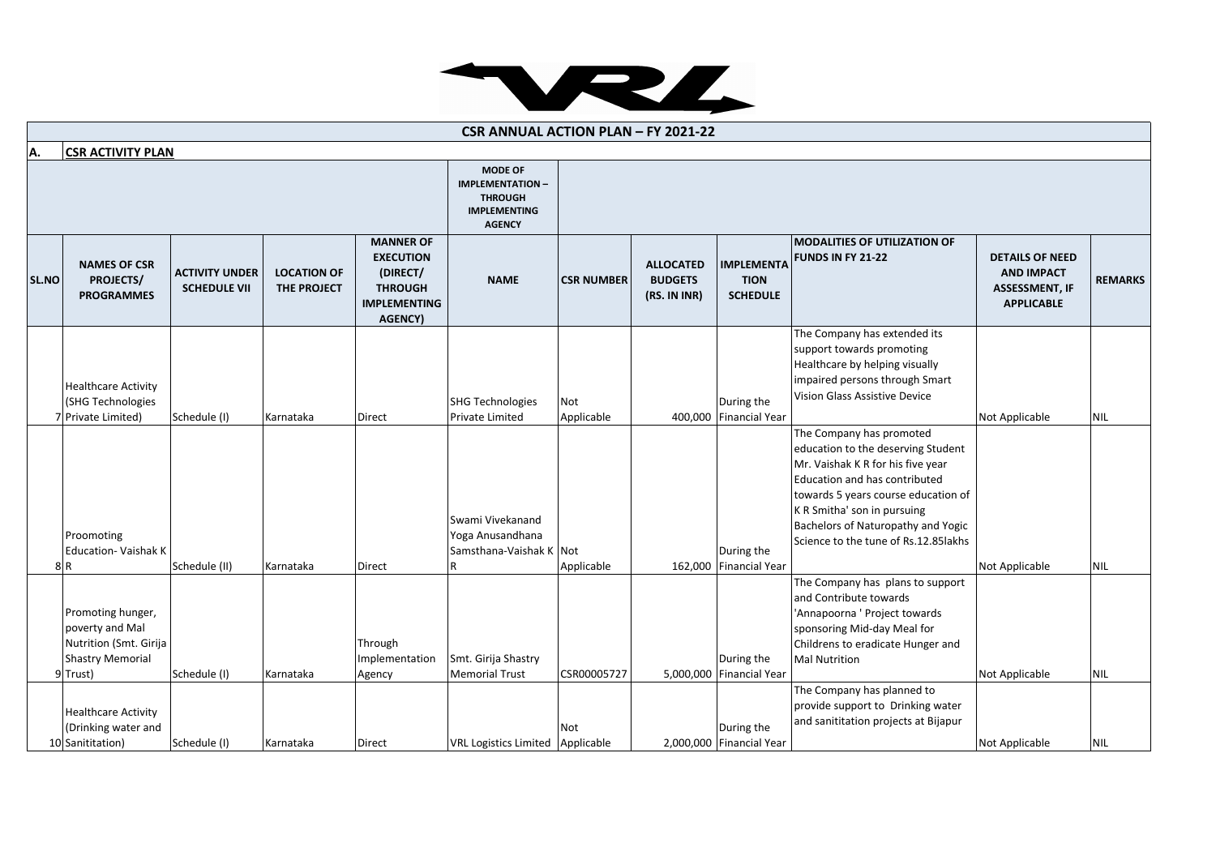

| <b>CSR ANNUAL ACTION PLAN - FY 2021-22</b> |                                                                                                       |                                              |                                   |                                                                                                             |                                                                                                     |                          |                                                    |                                                     |                                                                                                                                                                                                                                                                                           |                                                                                           |                |
|--------------------------------------------|-------------------------------------------------------------------------------------------------------|----------------------------------------------|-----------------------------------|-------------------------------------------------------------------------------------------------------------|-----------------------------------------------------------------------------------------------------|--------------------------|----------------------------------------------------|-----------------------------------------------------|-------------------------------------------------------------------------------------------------------------------------------------------------------------------------------------------------------------------------------------------------------------------------------------------|-------------------------------------------------------------------------------------------|----------------|
| A.                                         | <b>CSR ACTIVITY PLAN</b>                                                                              |                                              |                                   |                                                                                                             |                                                                                                     |                          |                                                    |                                                     |                                                                                                                                                                                                                                                                                           |                                                                                           |                |
|                                            |                                                                                                       |                                              |                                   |                                                                                                             | <b>MODE OF</b><br><b>IMPLEMENTATION -</b><br><b>THROUGH</b><br><b>IMPLEMENTING</b><br><b>AGENCY</b> |                          |                                                    |                                                     |                                                                                                                                                                                                                                                                                           |                                                                                           |                |
| SL.NO                                      | <b>NAMES OF CSR</b><br>PROJECTS/<br><b>PROGRAMMES</b>                                                 | <b>ACTIVITY UNDER</b><br><b>SCHEDULE VII</b> | <b>LOCATION OF</b><br>THE PROJECT | <b>MANNER OF</b><br><b>EXECUTION</b><br>(DIRECT/<br><b>THROUGH</b><br><b>IMPLEMENTING</b><br><b>AGENCY)</b> | <b>NAME</b>                                                                                         | <b>CSR NUMBER</b>        | <b>ALLOCATED</b><br><b>BUDGETS</b><br>(RS. IN INR) | <b>IMPLEMENTA</b><br><b>TION</b><br><b>SCHEDULE</b> | <b>MODALITIES OF UTILIZATION OF</b><br><b>FUNDS IN FY 21-22</b>                                                                                                                                                                                                                           | <b>DETAILS OF NEED</b><br><b>AND IMPACT</b><br><b>ASSESSMENT, IF</b><br><b>APPLICABLE</b> | <b>REMARKS</b> |
|                                            | <b>Healthcare Activity</b><br>(SHG Technologies<br>7 Private Limited)                                 | Schedule (I)                                 | Karnataka                         | Direct                                                                                                      | <b>SHG Technologies</b><br>Private Limited                                                          | <b>Not</b><br>Applicable |                                                    | During the<br>400,000 Financial Year                | The Company has extended its<br>support towards promoting<br>Healthcare by helping visually<br>impaired persons through Smart<br>Vision Glass Assistive Device                                                                                                                            | Not Applicable                                                                            | <b>NIL</b>     |
|                                            | Proomoting<br><b>Education- Vaishak K</b><br>8R                                                       | Schedule (II)                                | Karnataka                         | Direct                                                                                                      | Swami Vivekanand<br>Yoga Anusandhana<br>Samsthana-Vaishak K Not                                     | Applicable               |                                                    | During the<br>162,000 Financial Year                | The Company has promoted<br>education to the deserving Student<br>Mr. Vaishak K R for his five year<br>Education and has contributed<br>towards 5 years course education of<br>K R Smitha' son in pursuing<br>Bachelors of Naturopathy and Yogic<br>Science to the tune of Rs.12.85 lakhs | Not Applicable                                                                            | <b>NIL</b>     |
|                                            | Promoting hunger,<br>poverty and Mal<br>Nutrition (Smt. Girija<br><b>Shastry Memorial</b><br>9 Trust) | Schedule (I)                                 | Karnataka                         | Through<br>Implementation<br>Agency                                                                         | Smt. Girija Shastry<br><b>Memorial Trust</b>                                                        | CSR00005727              |                                                    | During the<br>5,000,000 Financial Year              | The Company has plans to support<br>and Contribute towards<br>'Annapoorna ' Project towards<br>sponsoring Mid-day Meal for<br>Childrens to eradicate Hunger and<br><b>Mal Nutrition</b>                                                                                                   | Not Applicable                                                                            | <b>NIL</b>     |
|                                            | <b>Healthcare Activity</b><br>(Drinking water and<br>10 Sanititation)                                 | Schedule (I)                                 | Karnataka                         | <b>Direct</b>                                                                                               | VRL Logistics Limited Applicable                                                                    | Not                      |                                                    | During the<br>2,000,000 Financial Year              | The Company has planned to<br>provide support to Drinking water<br>and sanititation projects at Bijapur                                                                                                                                                                                   | Not Applicable                                                                            | <b>NIL</b>     |